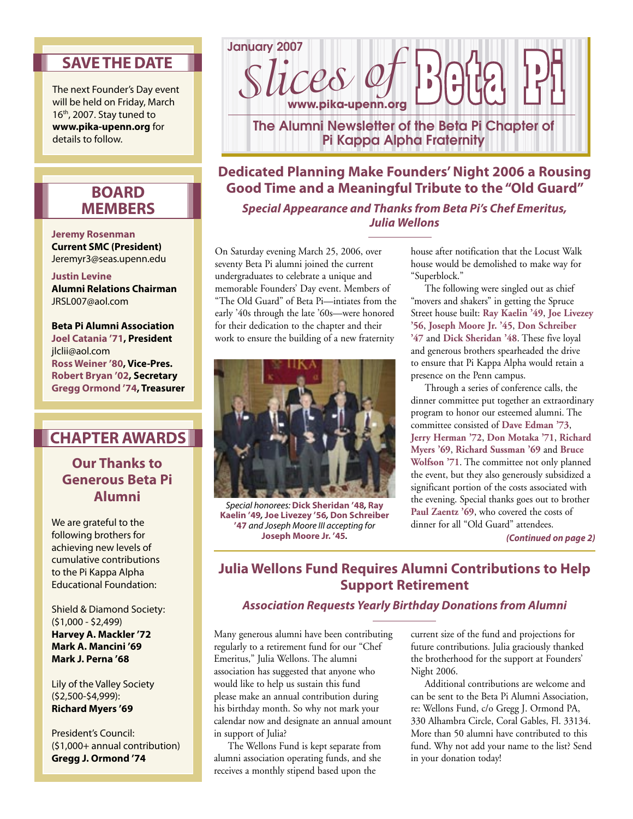## **SAVE THE DATE**

The next Founder's Day event will be held on Friday, March 16<sup>th</sup>, 2007. Stay tuned to **www.pika-upenn.org** for details to follow.

### **BOARD MEMBERS**

#### **Jeremy Rosenman Current SMC (President)** Jeremyr3@seas.upenn.edu

#### **Justin Levine**

**Alumni Relations Chairman** JRSL007@aol.com

**Beta Pi Alumni Association Joel Catania '71, President** jlclii@aol.com **Ross Weiner '80, Vice-Pres. Robert Bryan '02, Secretary Gregg Ormond '74, Treasurer**

## **CHAPTER AWARDS**

### **Our Thanks to Generous Beta Pi Alumni**

We are grateful to the following brothers for achieving new levels of cumulative contributions to the Pi Kappa Alpha Educational Foundation:

Shield & Diamond Society: (\$1,000 - \$2,499) **Harvey A. Mackler '72 Mark A. Mancini '69 Mark J. Perna '68**

Lily of the Valley Society (\$2,500-\$4,999): **Richard Myers '69** 

President's Council: (\$1,000+ annual contribution) **Gregg J. Ormond '74**



# **Dedicated Planning Make Founders' Night 2006 a Rousing Good Time and a Meaningful Tribute to the "Old Guard" Special Appearance and Thanks from Beta Pi's Chef Emeritus, Julia Wellons**

On Saturday evening March 25, 2006, over seventy Beta Pi alumni joined the current undergraduates to celebrate a unique and memorable Founders' Day event. Members of "The Old Guard" of Beta Pi—intiates from the early '40s through the late '60s—were honored for their dedication to the chapter and their



work to ensure the building of a new fraternity

Special honorees: **Dick Sheridan '48, Ray Kaelin '49, Joe Livezey '56, Don Schreiber '47** and Joseph Moore III accepting for **Joseph Moore Jr. '45.**

house after notification that the Locust Walk house would be demolished to make way for "Superblock."

 The following were singled out as chief "movers and shakers" in getting the Spruce Street house built: **Ray Kaelin '49**, **Joe Livezey '56**, **Joseph Moore Jr. '45**, **Don Schreiber '47** and **Dick Sheridan '48**. These five loyal and generous brothers spearheaded the drive to ensure that Pi Kappa Alpha would retain a presence on the Penn campus.

 Through a series of conference calls, the dinner committee put together an extraordinary program to honor our esteemed alumni. The committee consisted of **Dave Edman '73**, **Jerry Herman '72**, **Don Motaka '71**, **Richard Myers '69**, **Richard Sussman '69** and **Bruce Wolfson '71**. The committee not only planned the event, but they also generously subsidized a significant portion of the costs associated with the evening. Special thanks goes out to brother Paul Zaentz '69, who covered the costs of dinner for all "Old Guard" attendees.

**(Continued on page 2)**

# **Julia Wellons Fund Requires Alumni Contributions to Help Support Retirement**

#### **Association Requests Yearly Birthday Donations from Alumni**

Many generous alumni have been contributing regularly to a retirement fund for our "Chef Emeritus," Julia Wellons. The alumni association has suggested that anyone who would like to help us sustain this fund please make an annual contribution during his birthday month. So why not mark your calendar now and designate an annual amount in support of Julia?

 The Wellons Fund is kept separate from alumni association operating funds, and she receives a monthly stipend based upon the

current size of the fund and projections for future contributions. Julia graciously thanked the brotherhood for the support at Founders' Night 2006.

 Additional contributions are welcome and can be sent to the Beta Pi Alumni Association, re: Wellons Fund, c/o Gregg J. Ormond PA, 330 Alhambra Circle, Coral Gables, Fl. 33134. More than 50 alumni have contributed to this fund. Why not add your name to the list? Send in your donation today!